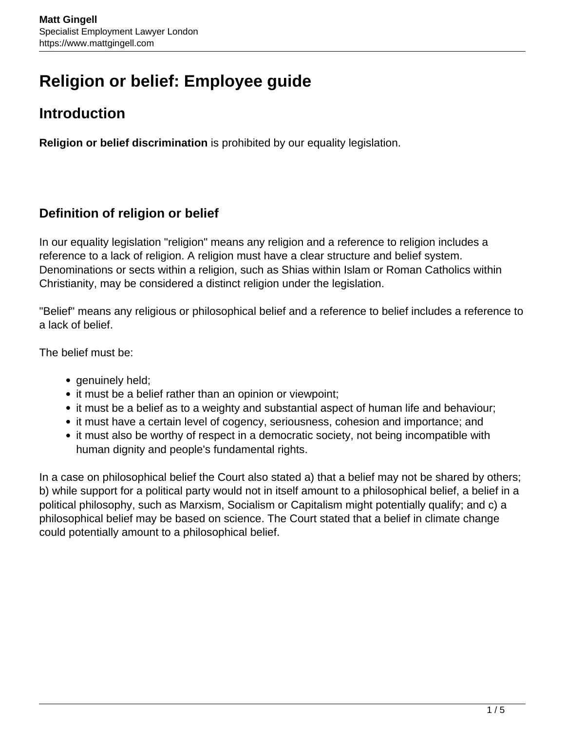# **Religion or belief: Employee guide**

## **Introduction**

**Religion or belief discrimination** is prohibited by our equality legislation.

#### **Definition of religion or belief**

In our equality legislation "religion" means any religion and a reference to religion includes a reference to a lack of religion. A religion must have a clear structure and belief system. Denominations or sects within a religion, such as Shias within Islam or Roman Catholics within Christianity, may be considered a distinct religion under the legislation.

"Belief" means any religious or philosophical belief and a reference to belief includes a reference to a lack of belief.

The belief must be:

- genuinely held;
- it must be a belief rather than an opinion or viewpoint;
- it must be a belief as to a weighty and substantial aspect of human life and behaviour;
- it must have a certain level of cogency, seriousness, cohesion and importance; and
- it must also be worthy of respect in a democratic society, not being incompatible with human dignity and people's fundamental rights.

In a case on philosophical belief the Court also stated a) that a belief may not be shared by others; b) while support for a political party would not in itself amount to a philosophical belief, a belief in a political philosophy, such as Marxism, Socialism or Capitalism might potentially qualify; and c) a philosophical belief may be based on science. The Court stated that a belief in climate change could potentially amount to a philosophical belief.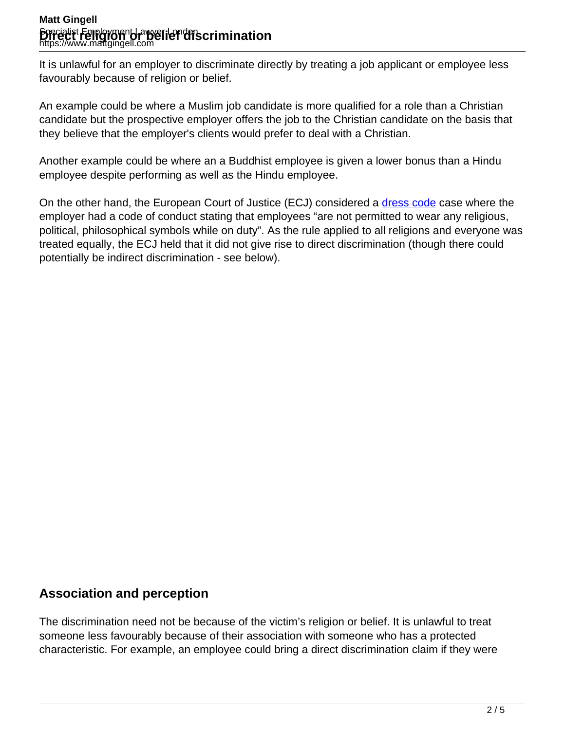#### **Matt Gingell** Specialist Employment Lawyer London **Direct Feligion Univelief discrimination**<br>https://www.mattgingell.com

It is unlawful for an employer to discriminate directly by treating a job applicant or employee less favourably because of religion or belief.

An example could be where a Muslim job candidate is more qualified for a role than a Christian candidate but the prospective employer offers the job to the Christian candidate on the basis that they believe that the employer's clients would prefer to deal with a Christian.

Another example could be where an a Buddhist employee is given a lower bonus than a Hindu employee despite performing as well as the Hindu employee.

On the other hand, the European Court of Justice (ECJ) considered a [dress code](https://www.mattgingell.com/dress-codes/) case where the employer had a code of conduct stating that employees "are not permitted to wear any religious, political, philosophical symbols while on duty". As the rule applied to all religions and everyone was treated equally, the ECJ held that it did not give rise to direct discrimination (though there could potentially be indirect discrimination - see below).

### **Association and perception**

The discrimination need not be because of the victim's religion or belief. It is unlawful to treat someone less favourably because of their association with someone who has a protected characteristic. For example, an employee could bring a direct discrimination claim if they were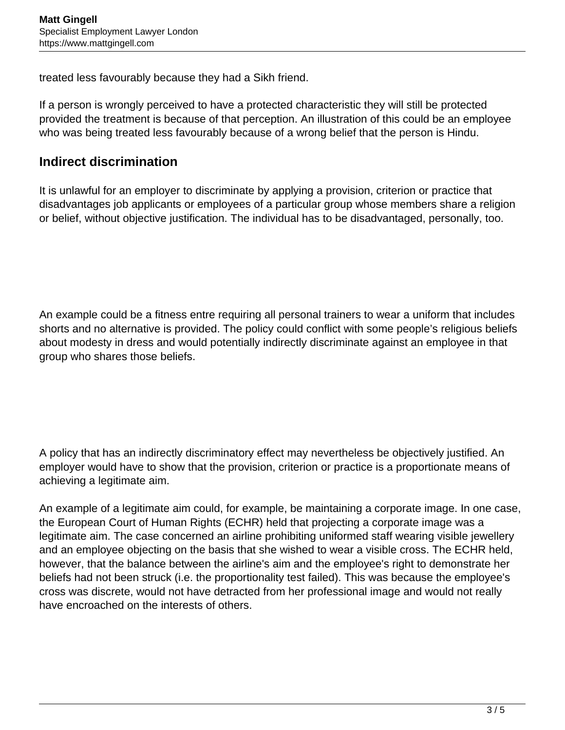treated less favourably because they had a Sikh friend.

If a person is wrongly perceived to have a protected characteristic they will still be protected provided the treatment is because of that perception. An illustration of this could be an employee who was being treated less favourably because of a wrong belief that the person is Hindu.

#### **Indirect discrimination**

It is unlawful for an employer to discriminate by applying a provision, criterion or practice that disadvantages job applicants or employees of a particular group whose members share a religion or belief, without objective justification. The individual has to be disadvantaged, personally, too.

An example could be a fitness entre requiring all personal trainers to wear a uniform that includes shorts and no alternative is provided. The policy could conflict with some people's religious beliefs about modesty in dress and would potentially indirectly discriminate against an employee in that group who shares those beliefs.

A policy that has an indirectly discriminatory effect may nevertheless be objectively justified. An employer would have to show that the provision, criterion or practice is a proportionate means of achieving a legitimate aim.

An example of a legitimate aim could, for example, be maintaining a corporate image. In one case, the European Court of Human Rights (ECHR) held that projecting a corporate image was a legitimate aim. The case concerned an airline prohibiting uniformed staff wearing visible jewellery and an employee objecting on the basis that she wished to wear a visible cross. The ECHR held, however, that the balance between the airline's aim and the employee's right to demonstrate her beliefs had not been struck (i.e. the proportionality test failed). This was because the employee's cross was discrete, would not have detracted from her professional image and would not really have encroached on the interests of others.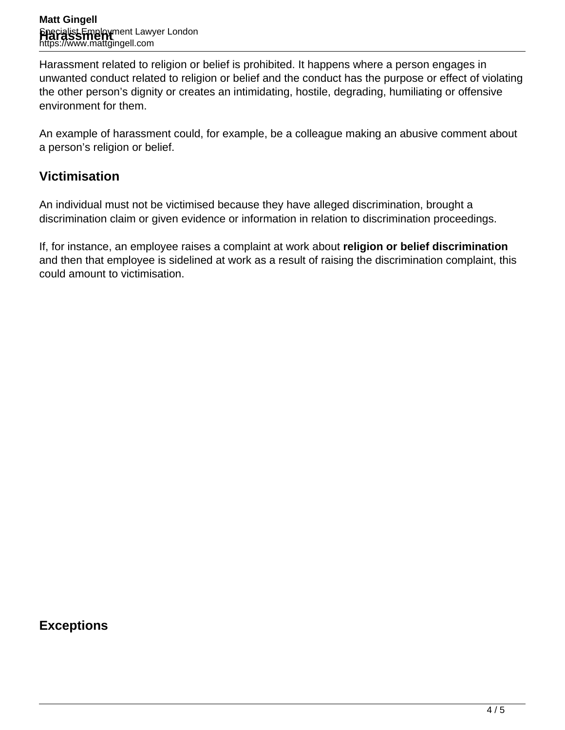Harassment related to religion or belief is prohibited. It happens where a person engages in unwanted conduct related to religion or belief and the conduct has the purpose or effect of violating the other person's dignity or creates an intimidating, hostile, degrading, humiliating or offensive environment for them.

An example of harassment could, for example, be a colleague making an abusive comment about a person's religion or belief.

#### **Victimisation**

An individual must not be victimised because they have alleged discrimination, brought a discrimination claim or given evidence or information in relation to discrimination proceedings.

If, for instance, an employee raises a complaint at work about **religion or belief discrimination** and then that employee is sidelined at work as a result of raising the discrimination complaint, this could amount to victimisation.

**Exceptions**